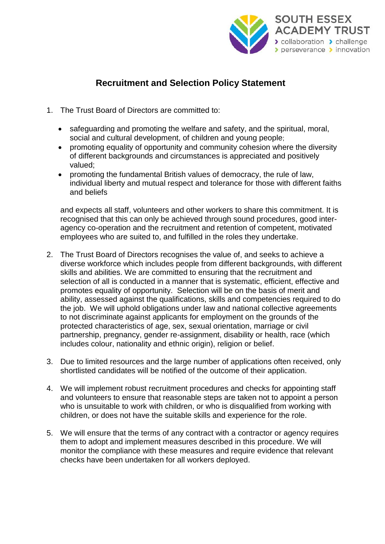

## **Recruitment and Selection Policy Statement**

- 1. The Trust Board of Directors are committed to:
	- safeguarding and promoting the welfare and safety, and the spiritual, moral, social and cultural development, of children and young people;
	- promoting equality of opportunity and community cohesion where the diversity of different backgrounds and circumstances is appreciated and positively valued;
	- promoting the fundamental British values of democracy, the rule of law, individual liberty and mutual respect and tolerance for those with different faiths and beliefs

and expects all staff, volunteers and other workers to share this commitment. It is recognised that this can only be achieved through sound procedures, good interagency co-operation and the recruitment and retention of competent, motivated employees who are suited to, and fulfilled in the roles they undertake.

- 2. The Trust Board of Directors recognises the value of, and seeks to achieve a diverse workforce which includes people from different backgrounds, with different skills and abilities. We are committed to ensuring that the recruitment and selection of all is conducted in a manner that is systematic, efficient, effective and promotes equality of opportunity. Selection will be on the basis of merit and ability, assessed against the qualifications, skills and competencies required to do the job. We will uphold obligations under law and national collective agreements to not discriminate against applicants for employment on the grounds of the protected characteristics of age, sex, sexual orientation, marriage or civil partnership, pregnancy, gender re-assignment, disability or health, race (which includes colour, nationality and ethnic origin), religion or belief.
- 3. Due to limited resources and the large number of applications often received, only shortlisted candidates will be notified of the outcome of their application.
- 4. We will implement robust recruitment procedures and checks for appointing staff and volunteers to ensure that reasonable steps are taken not to appoint a person who is unsuitable to work with children, or who is disqualified from working with children, or does not have the suitable skills and experience for the role.
- 5. We will ensure that the terms of any contract with a contractor or agency requires them to adopt and implement measures described in this procedure. We will monitor the compliance with these measures and require evidence that relevant checks have been undertaken for all workers deployed.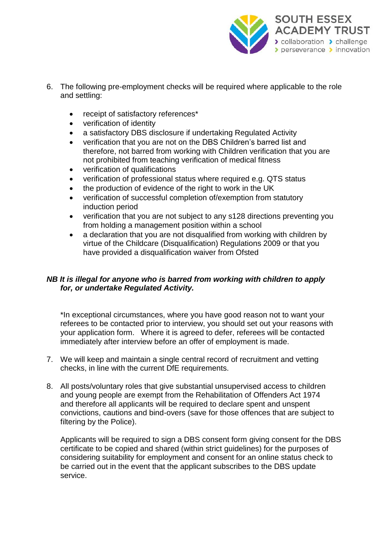

- 6. The following pre-employment checks will be required where applicable to the role and settling:
	- receipt of satisfactory references\*
	- verification of identity
	- a satisfactory DBS disclosure if undertaking Regulated Activity
	- verification that you are not on the DBS Children's barred list and therefore, not barred from working with Children verification that you are not prohibited from teaching verification of medical fitness
	- verification of qualifications
	- verification of professional status where required e.g. QTS status
	- the production of evidence of the right to work in the UK
	- verification of successful completion of/exemption from statutory induction period
	- verification that you are not subject to any s128 directions preventing you from holding a management position within a school
	- a declaration that you are not disqualified from working with children by virtue of the Childcare (Disqualification) Regulations 2009 or that you have provided a disqualification waiver from Ofsted

## *NB It is illegal for anyone who is barred from working with children to apply for, or undertake Regulated Activity.*

\*In exceptional circumstances, where you have good reason not to want your referees to be contacted prior to interview, you should set out your reasons with your application form. Where it is agreed to defer, referees will be contacted immediately after interview before an offer of employment is made.

- 7. We will keep and maintain a single central record of recruitment and vetting checks, in line with the current DfE requirements.
- 8. All posts/voluntary roles that give substantial unsupervised access to children and young people are exempt from the Rehabilitation of Offenders Act 1974 and therefore all applicants will be required to declare spent and unspent convictions, cautions and bind-overs (save for those offences that are subject to filtering by the Police).

Applicants will be required to sign a DBS consent form giving consent for the DBS certificate to be copied and shared (within strict guidelines) for the purposes of considering suitability for employment and consent for an online status check to be carried out in the event that the applicant subscribes to the DBS update service.